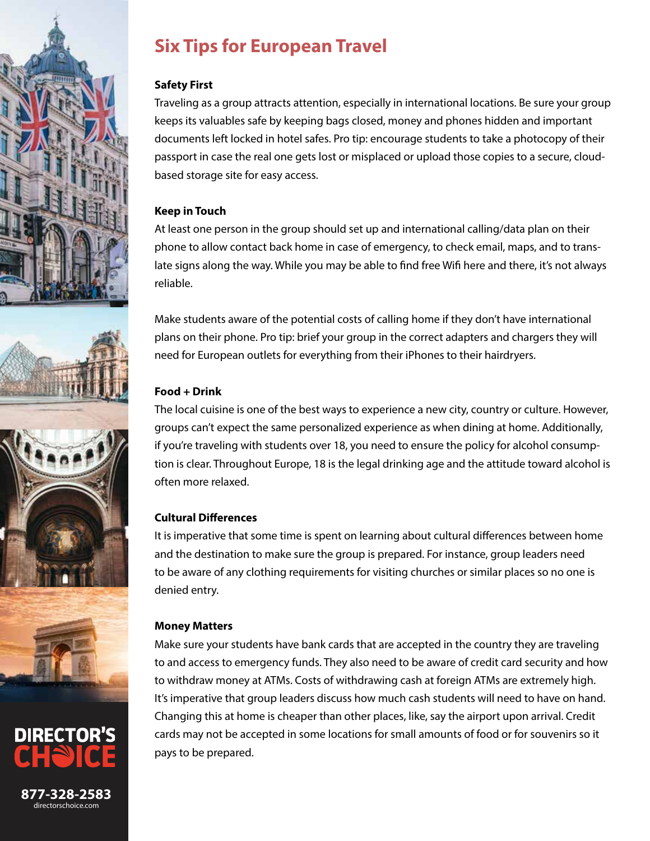



**877-328-2583** directorschoice.com

# **Six Tips for European Travel**

#### **Safety First**

Traveling as a group attracts attention, especially in international locations. Be sure your group keeps its valuables safe by keeping bags closed, money and phones hidden and important documents left locked in hotel safes. Pro tip: encourage students to take a photocopy of their passport in case the real one gets lost or misplaced or upload those copies to a secure, cloudbased storage site for easy access.

#### **Keep in Touch**

At least one person in the group should set up and international calling/data plan on their phone to allow contact back home in case of emergency, to check email, maps, and to translate signs along the way. While you may be able to find free Wifi here and there, it's not always reliable.

Make students aware of the potential costs of calling home if they don't have international plans on their phone. Pro tip: brief your group in the correct adapters and chargers they will need for European outlets for everything from their iPhones to their hairdryers.

# **Food + Drink**

The local cuisine is one of the best ways to experience a new city, country or culture. However, groups can't expect the same personalized experience as when dining at home. Additionally, if you're traveling with students over 18, you need to ensure the policy for alcohol consumption is clear. Throughout Europe, 18 is the legal drinking age and the attitude toward alcohol is often more relaxed.

# **Cultural Differences**

It is imperative that some time is spent on learning about cultural differences between home and the destination to make sure the group is prepared. For instance, group leaders need to be aware of any clothing requirements for visiting churches or similar places so no one is denied entry.

## **Money Matters**

Make sure your students have bank cards that are accepted in the country they are traveling to and access to emergency funds. They also need to be aware of credit card security and how to withdraw money at ATMs. Costs of withdrawing cash at foreign ATMs are extremely high. It's imperative that group leaders discuss how much cash students will need to have on hand. Changing this at home is cheaper than other places, like, say the airport upon arrival. Credit cards may not be accepted in some locations for small amounts of food or for souvenirs so it pays to be prepared.